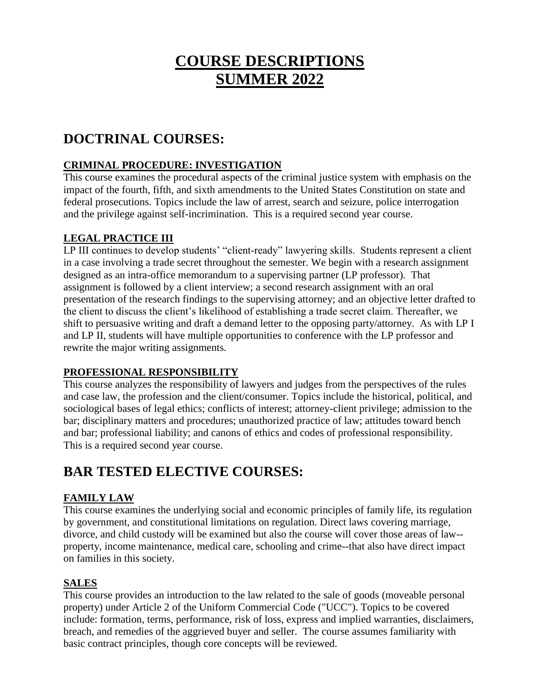# **COURSE DESCRIPTIONS SUMMER 2022**

# **DOCTRINAL COURSES:**

### **CRIMINAL PROCEDURE: INVESTIGATION**

This course examines the procedural aspects of the criminal justice system with emphasis on the impact of the fourth, fifth, and sixth amendments to the United States Constitution on state and federal prosecutions. Topics include the law of arrest, search and seizure, police interrogation and the privilege against self-incrimination. This is a required second year course.

### **LEGAL PRACTICE III**

LP III continues to develop students' "client-ready" lawyering skills. Students represent a client in a case involving a trade secret throughout the semester. We begin with a research assignment designed as an intra-office memorandum to a supervising partner (LP professor). That assignment is followed by a client interview; a second research assignment with an oral presentation of the research findings to the supervising attorney; and an objective letter drafted to the client to discuss the client's likelihood of establishing a trade secret claim. Thereafter, we shift to persuasive writing and draft a demand letter to the opposing party/attorney. As with LP I and LP II, students will have multiple opportunities to conference with the LP professor and rewrite the major writing assignments.

#### **PROFESSIONAL RESPONSIBILITY**

This course analyzes the responsibility of lawyers and judges from the perspectives of the rules and case law, the profession and the client/consumer. Topics include the historical, political, and sociological bases of legal ethics; conflicts of interest; attorney-client privilege; admission to the bar; disciplinary matters and procedures; unauthorized practice of law; attitudes toward bench and bar; professional liability; and canons of ethics and codes of professional responsibility. This is a required second year course.

# **BAR TESTED ELECTIVE COURSES:**

### **FAMILY LAW**

This course examines the underlying social and economic principles of family life, its regulation by government, and constitutional limitations on regulation. Direct laws covering marriage, divorce, and child custody will be examined but also the course will cover those areas of law- property, income maintenance, medical care, schooling and crime--that also have direct impact on families in this society.

### **SALES**

This course provides an introduction to the law related to the sale of goods (moveable personal property) under Article 2 of the Uniform Commercial Code ("UCC"). Topics to be covered include: formation, terms, performance, risk of loss, express and implied warranties, disclaimers, breach, and remedies of the aggrieved buyer and seller. The course assumes familiarity with basic contract principles, though core concepts will be reviewed.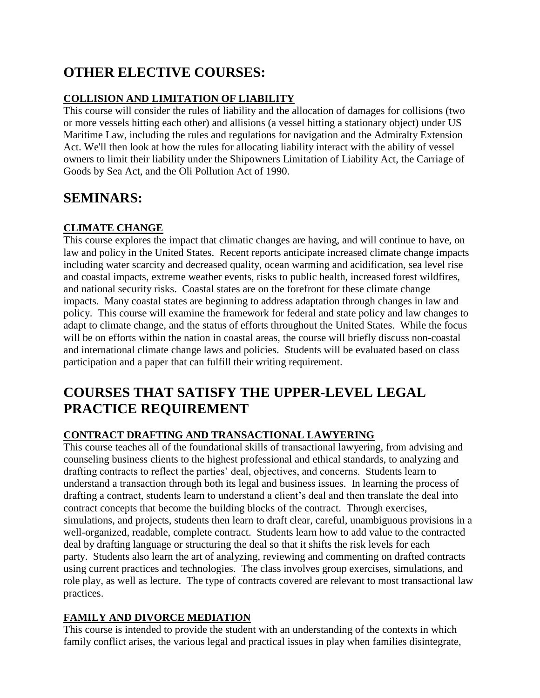# **OTHER ELECTIVE COURSES:**

### **COLLISION AND LIMITATION OF LIABILITY**

This course will consider the rules of liability and the allocation of damages for collisions (two or more vessels hitting each other) and allisions (a vessel hitting a stationary object) under US Maritime Law, including the rules and regulations for navigation and the Admiralty Extension Act. We'll then look at how the rules for allocating liability interact with the ability of vessel owners to limit their liability under the Shipowners Limitation of Liability Act, the Carriage of Goods by Sea Act, and the Oli Pollution Act of 1990.

### **SEMINARS:**

### **CLIMATE CHANGE**

This course explores the impact that climatic changes are having, and will continue to have, on law and policy in the United States. Recent reports anticipate increased climate change impacts including water scarcity and decreased quality, ocean warming and acidification, sea level rise and coastal impacts, extreme weather events, risks to public health, increased forest wildfires, and national security risks. Coastal states are on the forefront for these climate change impacts. Many coastal states are beginning to address adaptation through changes in law and policy. This course will examine the framework for federal and state policy and law changes to adapt to climate change, and the status of efforts throughout the United States. While the focus will be on efforts within the nation in coastal areas, the course will briefly discuss non-coastal and international climate change laws and policies. Students will be evaluated based on class participation and a paper that can fulfill their writing requirement.

## **COURSES THAT SATISFY THE UPPER-LEVEL LEGAL PRACTICE REQUIREMENT**

### **CONTRACT DRAFTING AND TRANSACTIONAL LAWYERING**

This course teaches all of the foundational skills of transactional lawyering, from advising and counseling business clients to the highest professional and ethical standards, to analyzing and drafting contracts to reflect the parties' deal, objectives, and concerns. Students learn to understand a transaction through both its legal and business issues. In learning the process of drafting a contract, students learn to understand a client's deal and then translate the deal into contract concepts that become the building blocks of the contract. Through exercises, simulations, and projects, students then learn to draft clear, careful, unambiguous provisions in a well-organized, readable, complete contract. Students learn how to add value to the contracted deal by drafting language or structuring the deal so that it shifts the risk levels for each party. Students also learn the art of analyzing, reviewing and commenting on drafted contracts using current practices and technologies. The class involves group exercises, simulations, and role play, as well as lecture. The type of contracts covered are relevant to most transactional law practices.

### **FAMILY AND DIVORCE MEDIATION**

This course is intended to provide the student with an understanding of the contexts in which family conflict arises, the various legal and practical issues in play when families disintegrate,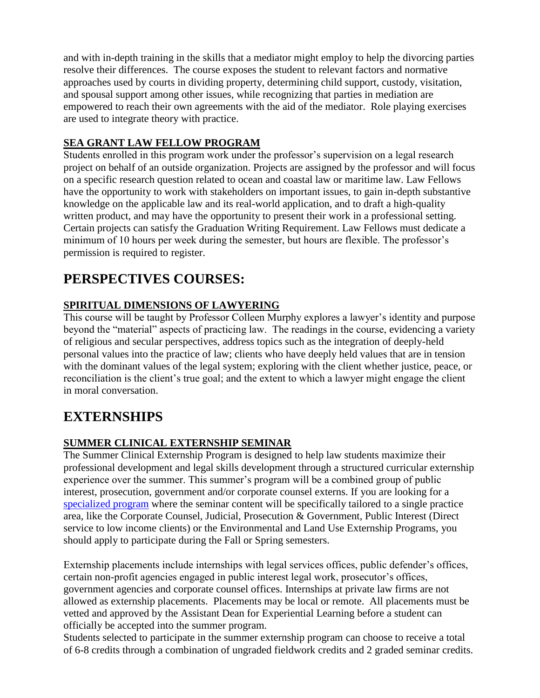and with in-depth training in the skills that a mediator might employ to help the divorcing parties resolve their differences. The course exposes the student to relevant factors and normative approaches used by courts in dividing property, determining child support, custody, visitation, and spousal support among other issues, while recognizing that parties in mediation are empowered to reach their own agreements with the aid of the mediator. Role playing exercises are used to integrate theory with practice.

### **SEA GRANT LAW FELLOW PROGRAM**

Students enrolled in this program work under the professor's supervision on a legal research project on behalf of an outside organization. Projects are assigned by the professor and will focus on a specific research question related to ocean and coastal law or maritime law. Law Fellows have the opportunity to work with stakeholders on important issues, to gain in-depth substantive knowledge on the applicable law and its real-world application, and to draft a high-quality written product, and may have the opportunity to present their work in a professional setting. Certain projects can satisfy the Graduation Writing Requirement. Law Fellows must dedicate a minimum of 10 hours per week during the semester, but hours are flexible. The professor's permission is required to register.

### **PERSPECTIVES COURSES:**

### **SPIRITUAL DIMENSIONS OF LAWYERING**

This course will be taught by Professor Colleen Murphy explores a lawyer's identity and purpose beyond the "material" aspects of practicing law. The readings in the course, evidencing a variety of religious and secular perspectives, address topics such as the integration of deeply-held personal values into the practice of law; clients who have deeply held values that are in tension with the dominant values of the legal system; exploring with the client whether justice, peace, or reconciliation is the client's true goal; and the extent to which a lawyer might engage the client in moral conversation.

### **EXTERNSHIPS**

### **SUMMER CLINICAL EXTERNSHIP SEMINAR**

The Summer Clinical Externship Program is designed to help law students maximize their professional development and legal skills development through a structured curricular externship experience over the summer. This summer's program will be a combined group of public interest, prosecution, government and/or corporate counsel externs. If you are looking for a [specialized program](https://law.rwu.edu/academics/juris-doctor/clinics-and-externships/clinical-externships) where the seminar content will be specifically tailored to a single practice area, like the Corporate Counsel, Judicial, Prosecution & Government, Public Interest (Direct service to low income clients) or the Environmental and Land Use Externship Programs, you should apply to participate during the Fall or Spring semesters.

Externship placements include internships with legal services offices, public defender's offices, certain non-profit agencies engaged in public interest legal work, prosecutor's offices, government agencies and corporate counsel offices. Internships at private law firms are not allowed as externship placements. Placements may be local or remote. All placements must be vetted and approved by the Assistant Dean for Experiential Learning before a student can officially be accepted into the summer program.

Students selected to participate in the summer externship program can choose to receive a total of 6-8 credits through a combination of ungraded fieldwork credits and 2 graded seminar credits.